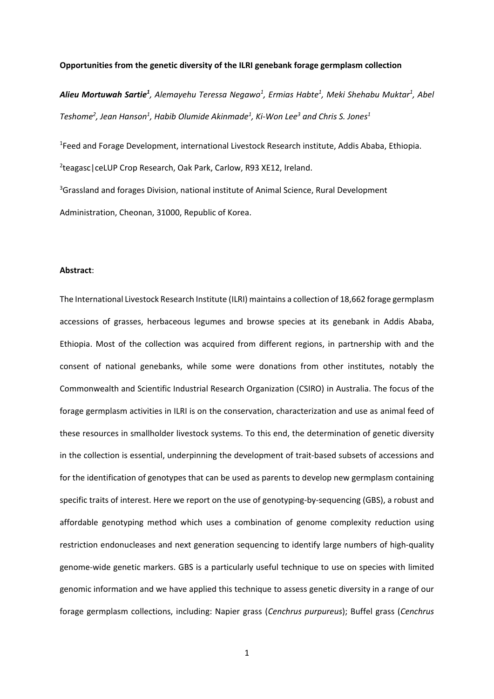#### **Opportunities from the genetic diversity of the ILRI genebank forage germplasm collection**

*Alieu Mortuwah Sartie<sup>1</sup> , Alemayehu Teressa Negawo<sup>1</sup> , Ermias Habte<sup>1</sup> , Meki Shehabu Muktar<sup>1</sup> , Abel Teshome<sup>2</sup> , Jean Hanson<sup>1</sup> , Habib Olumide Akinmade<sup>1</sup> , Ki-Won Lee<sup>3</sup> and Chris S. Jones<sup>1</sup>*

<sup>1</sup> Feed and Forage Development, international Livestock Research institute, Addis Ababa, Ethiopia.

2 teagasc|ceLUP Crop Research, Oak Park, Carlow, R93 XE12, Ireland.

<sup>3</sup>Grassland and forages Division, national institute of Animal Science, Rural Development Administration, Cheonan, 31000, Republic of Korea.

# **Abstract**:

The International Livestock Research Institute (ILRI) maintains a collection of 18,662 forage germplasm accessions of grasses, herbaceous legumes and browse species at its genebank in Addis Ababa, Ethiopia. Most of the collection was acquired from different regions, in partnership with and the consent of national genebanks, while some were donations from other institutes, notably the Commonwealth and Scientific Industrial Research Organization (CSIRO) in Australia. The focus of the forage germplasm activities in ILRI is on the conservation, characterization and use as animal feed of these resources in smallholder livestock systems. To this end, the determination of genetic diversity in the collection is essential, underpinning the development of trait-based subsets of accessions and for the identification of genotypes that can be used as parents to develop new germplasm containing specific traits of interest. Here we report on the use of genotyping-by-sequencing (GBS), a robust and affordable genotyping method which uses a combination of genome complexity reduction using restriction endonucleases and next generation sequencing to identify large numbers of high-quality genome-wide genetic markers. GBS is a particularly useful technique to use on species with limited genomic information and we have applied this technique to assess genetic diversity in a range of our forage germplasm collections, including: Napier grass (*Cenchrus purpureus*); Buffel grass (*Cenchrus*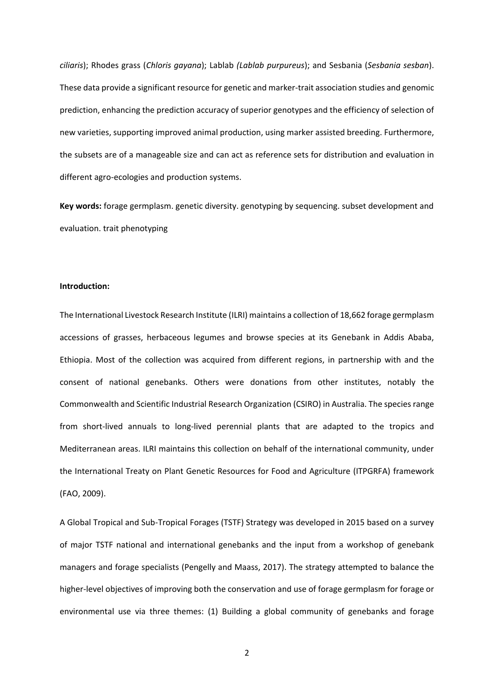*ciliaris*); Rhodes grass (*Chloris gayana*); Lablab *(Lablab purpureus*); and Sesbania (*Sesbania sesban*). These data provide a significant resource for genetic and marker-trait association studies and genomic prediction, enhancing the prediction accuracy of superior genotypes and the efficiency of selection of new varieties, supporting improved animal production, using marker assisted breeding. Furthermore, the subsets are of a manageable size and can act as reference sets for distribution and evaluation in different agro-ecologies and production systems.

**Key words:** forage germplasm. genetic diversity. genotyping by sequencing. subset development and evaluation. trait phenotyping

### **Introduction:**

The International Livestock Research Institute (ILRI) maintains a collection of 18,662 forage germplasm accessions of grasses, herbaceous legumes and browse species at its Genebank in Addis Ababa, Ethiopia. Most of the collection was acquired from different regions, in partnership with and the consent of national genebanks. Others were donations from other institutes, notably the Commonwealth and Scientific Industrial Research Organization (CSIRO) in Australia. The species range from short-lived annuals to long-lived perennial plants that are adapted to the tropics and Mediterranean areas. ILRI maintains this collection on behalf of the international community, under the International Treaty on Plant Genetic Resources for Food and Agriculture (ITPGRFA) framework (FAO, 2009).

A Global Tropical and Sub-Tropical Forages (TSTF) Strategy was developed in 2015 based on a survey of major TSTF national and international genebanks and the input from a workshop of genebank managers and forage specialists (Pengelly and Maass, 2017). The strategy attempted to balance the higher-level objectives of improving both the conservation and use of forage germplasm for forage or environmental use via three themes: (1) Building a global community of genebanks and forage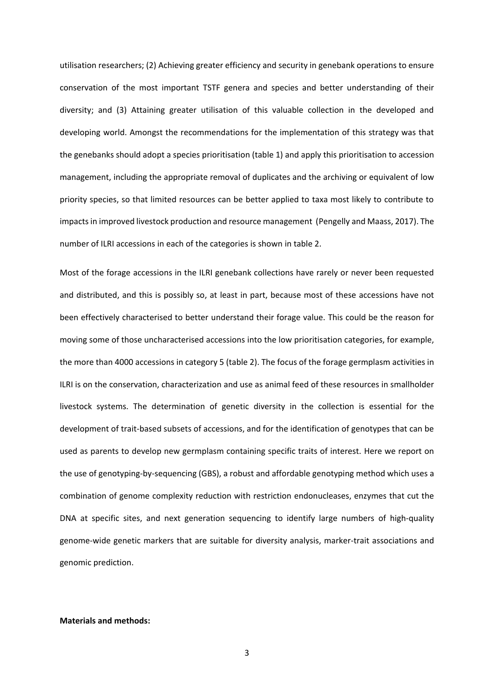utilisation researchers; (2) Achieving greater efficiency and security in genebank operations to ensure conservation of the most important TSTF genera and species and better understanding of their diversity; and (3) Attaining greater utilisation of this valuable collection in the developed and developing world. Amongst the recommendations for the implementation of this strategy was that the genebanks should adopt a species prioritisation (table 1) and apply this prioritisation to accession management, including the appropriate removal of duplicates and the archiving or equivalent of low priority species, so that limited resources can be better applied to taxa most likely to contribute to impacts in improved livestock production and resource management (Pengelly and Maass, 2017). The number of ILRI accessions in each of the categories is shown in table 2.

Most of the forage accessions in the ILRI genebank collections have rarely or never been requested and distributed, and this is possibly so, at least in part, because most of these accessions have not been effectively characterised to better understand their forage value. This could be the reason for moving some of those uncharacterised accessions into the low prioritisation categories, for example, the more than 4000 accessions in category 5 (table 2). The focus of the forage germplasm activities in ILRI is on the conservation, characterization and use as animal feed of these resources in smallholder livestock systems. The determination of genetic diversity in the collection is essential for the development of trait-based subsets of accessions, and for the identification of genotypes that can be used as parents to develop new germplasm containing specific traits of interest. Here we report on the use of genotyping-by-sequencing (GBS), a robust and affordable genotyping method which uses a combination of genome complexity reduction with restriction endonucleases, enzymes that cut the DNA at specific sites, and next generation sequencing to identify large numbers of high-quality genome-wide genetic markers that are suitable for diversity analysis, marker-trait associations and genomic prediction.

#### **Materials and methods:**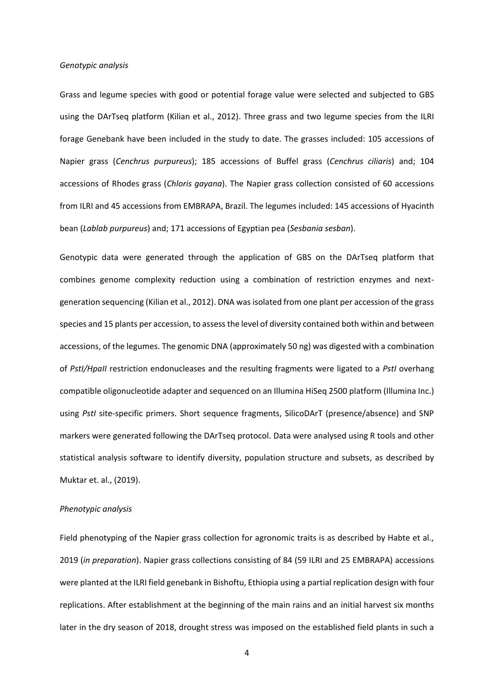#### *Genotypic analysis*

Grass and legume species with good or potential forage value were selected and subjected to GBS using the DArTseq platform (Kilian et al., 2012). Three grass and two legume species from the ILRI forage Genebank have been included in the study to date. The grasses included: 105 accessions of Napier grass (*Cenchrus purpureus*); 185 accessions of Buffel grass (*Cenchrus ciliaris*) and; 104 accessions of Rhodes grass (*Chloris gayana*). The Napier grass collection consisted of 60 accessions from ILRI and 45 accessions from EMBRAPA, Brazil. The legumes included: 145 accessions of Hyacinth bean (*Lablab purpureus*) and; 171 accessions of Egyptian pea (*Sesbania sesban*).

Genotypic data were generated through the application of GBS on the DArTseq platform that combines genome complexity reduction using a combination of restriction enzymes and nextgeneration sequencing (Kilian et al., 2012). DNA was isolated from one plant per accession of the grass species and 15 plants per accession, to assess the level of diversity contained both within and between accessions, of the legumes. The genomic DNA (approximately 50 ng) was digested with a combination of *PstI/HpaII* restriction endonucleases and the resulting fragments were ligated to a *PstI* overhang compatible oligonucleotide adapter and sequenced on an Illumina HiSeq 2500 platform (Illumina Inc.) using *PstI* site-specific primers. Short sequence fragments, SilicoDArT (presence/absence) and SNP markers were generated following the DArTseq protocol. Data were analysed using R tools and other statistical analysis software to identify diversity, population structure and subsets, as described by Muktar et. al., (2019).

#### *Phenotypic analysis*

Field phenotyping of the Napier grass collection for agronomic traits is as described by Habte et al., 2019 (*in preparation*). Napier grass collections consisting of 84 (59 ILRI and 25 EMBRAPA) accessions were planted at the ILRI field genebank in Bishoftu, Ethiopia using a partial replication design with four replications. After establishment at the beginning of the main rains and an initial harvest six months later in the dry season of 2018, drought stress was imposed on the established field plants in such a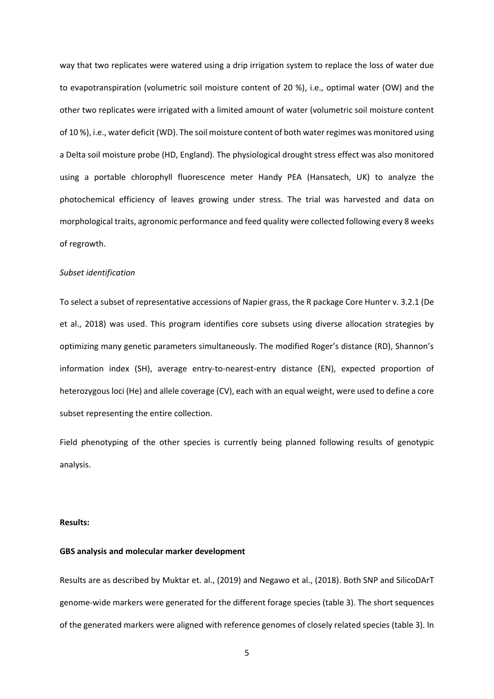way that two replicates were watered using a drip irrigation system to replace the loss of water due to evapotranspiration (volumetric soil moisture content of 20 %), i.e., optimal water (OW) and the other two replicates were irrigated with a limited amount of water (volumetric soil moisture content of 10 %), i.e., water deficit (WD). The soil moisture content of both water regimes was monitored using a Delta soil moisture probe (HD, England). The physiological drought stress effect was also monitored using a portable chlorophyll fluorescence meter Handy PEA (Hansatech, UK) to analyze the photochemical efficiency of leaves growing under stress. The trial was harvested and data on morphological traits, agronomic performance and feed quality were collected following every 8 weeks of regrowth.

# *Subset identification*

To select a subset of representative accessions of Napier grass, the R package Core Hunter v. 3.2.1 (De et al., 2018) was used. This program identifies core subsets using diverse allocation strategies by optimizing many genetic parameters simultaneously. The modified Roger's distance (RD), Shannon's information index (SH), average entry-to-nearest-entry distance (EN), expected proportion of heterozygous loci (He) and allele coverage (CV), each with an equal weight, were used to define a core subset representing the entire collection.

Field phenotyping of the other species is currently being planned following results of genotypic analysis.

#### **Results:**

# **GBS analysis and molecular marker development**

Results are as described by Muktar et. al., (2019) and Negawo et al., (2018). Both SNP and SilicoDArT genome-wide markers were generated for the different forage species (table 3). The short sequences of the generated markers were aligned with reference genomes of closely related species (table 3). In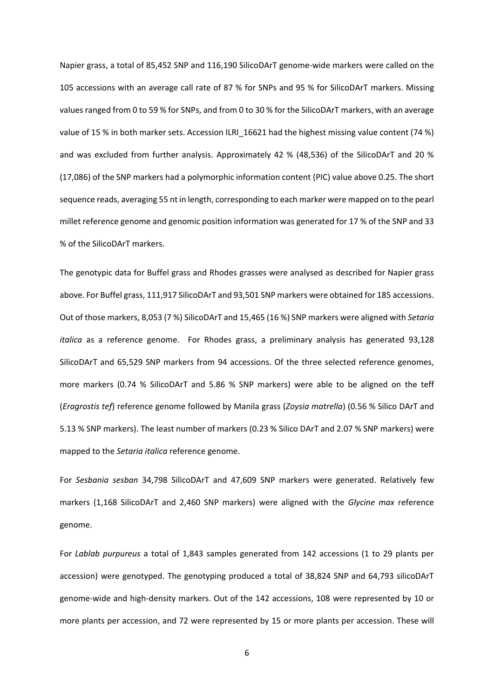Napier grass, a total of 85,452 SNP and 116,190 SilicoDArT genome-wide markers were called on the 105 accessions with an average call rate of 87 % for SNPs and 95 % for SilicoDArT markers. Missing values ranged from 0 to 59 % for SNPs, and from 0 to 30 % for the SilicoDArT markers, with an average value of 15 % in both marker sets. Accession ILRI 16621 had the highest missing value content (74 %) and was excluded from further analysis. Approximately 42 % (48,536) of the SilicoDArT and 20 % (17,086) of the SNP markers had a polymorphic information content (PIC) value above 0.25. The short sequence reads, averaging 55 nt in length, corresponding to each marker were mapped on to the pearl millet reference genome and genomic position information was generated for 17 % of the SNP and 33 % of the SilicoDArT markers.

The genotypic data for Buffel grass and Rhodes grasses were analysed as described for Napier grass above. For Buffel grass, 111,917 SilicoDArT and 93,501 SNP markers were obtained for 185 accessions. Out of those markers, 8,053 (7 %) SilicoDArT and 15,465 (16 %) SNP markers were aligned with *Setaria italica* as a reference genome. For Rhodes grass, a preliminary analysis has generated 93,128 SilicoDArT and 65,529 SNP markers from 94 accessions. Of the three selected reference genomes, more markers (0.74 % SilicoDArT and 5.86 % SNP markers) were able to be aligned on the teff (*Eragrostis tef*) reference genome followed by Manila grass (*Zoysia matrella*) (0.56 % Silico DArT and 5.13 % SNP markers). The least number of markers (0.23 % Silico DArT and 2.07 % SNP markers) were mapped to the *Setaria italica* reference genome.

For *Sesbania sesban* 34,798 SilicoDArT and 47,609 SNP markers were generated. Relatively few markers (1,168 SilicoDArT and 2,460 SNP markers) were aligned with the *Glycine max* reference genome.

For *Lablab purpureus* a total of 1,843 samples generated from 142 accessions (1 to 29 plants per accession) were genotyped. The genotyping produced a total of 38,824 SNP and 64,793 silicoDArT genome-wide and high-density markers. Out of the 142 accessions, 108 were represented by 10 or more plants per accession, and 72 were represented by 15 or more plants per accession. These will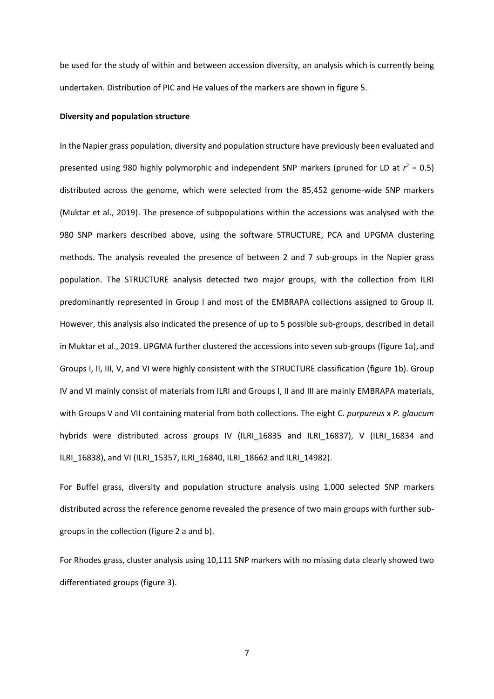be used for the study of within and between accession diversity, an analysis which is currently being undertaken. Distribution of PIC and He values of the markers are shown in figure 5.

# **Diversity and population structure**

In the Napier grass population, diversity and population structure have previously been evaluated and presented using 980 highly polymorphic and independent SNP markers (pruned for LD at  $r^2 = 0.5$ ) distributed across the genome, which were selected from the 85,452 genome-wide SNP markers (Muktar et al., 2019). The presence of subpopulations within the accessions was analysed with the 980 SNP markers described above, using the software STRUCTURE, PCA and UPGMA clustering methods. The analysis revealed the presence of between 2 and 7 sub-groups in the Napier grass population. The STRUCTURE analysis detected two major groups, with the collection from ILRI predominantly represented in Group I and most of the EMBRAPA collections assigned to Group II. However, this analysis also indicated the presence of up to 5 possible sub-groups, described in detail in Muktar et al., 2019. UPGMA further clustered the accessions into seven sub-groups (figure 1a), and Groups I, II, III, V, and VI were highly consistent with the STRUCTURE classification (figure 1b). Group IV and VI mainly consist of materials from ILRI and Groups I, II and III are mainly EMBRAPA materials, with Groups V and VII containing material from both collections. The eight C*. purpureus* x *P. glaucum* hybrids were distributed across groups IV (ILRI\_16835 and ILRI\_16837), V (ILRI\_16834 and ILRI\_16838), and VI (ILRI\_15357, ILRI\_16840, ILRI\_18662 and ILRI\_14982).

For Buffel grass, diversity and population structure analysis using 1,000 selected SNP markers distributed across the reference genome revealed the presence of two main groups with further subgroups in the collection (figure 2 a and b).

For Rhodes grass, cluster analysis using 10,111 SNP markers with no missing data clearly showed two differentiated groups (figure 3).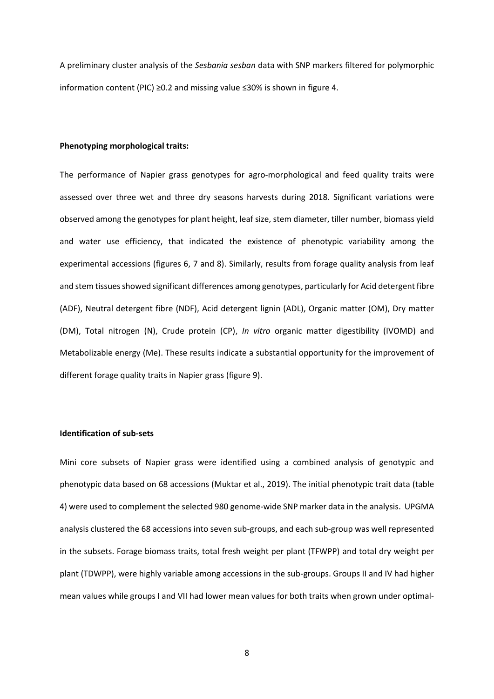A preliminary cluster analysis of the *Sesbania sesban* data with SNP markers filtered for polymorphic information content (PIC) ≥0.2 and missing value ≤30% is shown in figure 4.

#### **Phenotyping morphological traits:**

The performance of Napier grass genotypes for agro-morphological and feed quality traits were assessed over three wet and three dry seasons harvests during 2018. Significant variations were observed among the genotypes for plant height, leaf size, stem diameter, tiller number, biomass yield and water use efficiency, that indicated the existence of phenotypic variability among the experimental accessions (figures 6, 7 and 8). Similarly, results from forage quality analysis from leaf and stem tissues showed significant differences among genotypes, particularly for Acid detergent fibre (ADF), Neutral detergent fibre (NDF), Acid detergent lignin (ADL), Organic matter (OM), Dry matter (DM), Total nitrogen (N), Crude protein (CP), *In vitro* organic matter digestibility (IVOMD) and Metabolizable energy (Me). These results indicate a substantial opportunity for the improvement of different forage quality traits in Napier grass (figure 9).

# **Identification of sub-sets**

Mini core subsets of Napier grass were identified using a combined analysis of genotypic and phenotypic data based on 68 accessions (Muktar et al., 2019). The initial phenotypic trait data (table 4) were used to complement the selected 980 genome-wide SNP marker data in the analysis. UPGMA analysis clustered the 68 accessions into seven sub-groups, and each sub-group was well represented in the subsets. Forage biomass traits, total fresh weight per plant (TFWPP) and total dry weight per plant (TDWPP), were highly variable among accessions in the sub-groups. Groups II and IV had higher mean values while groups I and VII had lower mean values for both traits when grown under optimal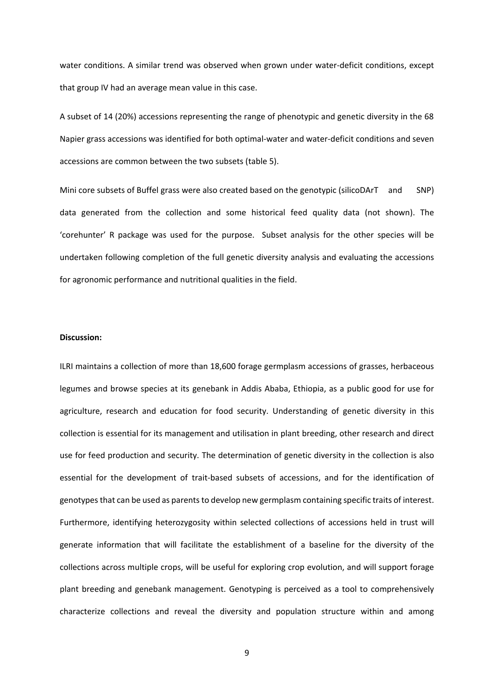water conditions. A similar trend was observed when grown under water-deficit conditions, except that group IV had an average mean value in this case.

A subset of 14 (20%) accessions representing the range of phenotypic and genetic diversity in the 68 Napier grass accessions was identified for both optimal-water and water-deficit conditions and seven accessions are common between the two subsets (table 5).

Mini core subsets of Buffel grass were also created based on the genotypic (silicoDArT and SNP) data generated from the collection and some historical feed quality data (not shown). The 'corehunter' R package was used for the purpose. Subset analysis for the other species will be undertaken following completion of the full genetic diversity analysis and evaluating the accessions for agronomic performance and nutritional qualities in the field.

#### **Discussion:**

ILRI maintains a collection of more than 18,600 forage germplasm accessions of grasses, herbaceous legumes and browse species at its genebank in Addis Ababa, Ethiopia, as a public good for use for agriculture, research and education for food security. Understanding of genetic diversity in this collection is essential for its management and utilisation in plant breeding, other research and direct use for feed production and security. The determination of genetic diversity in the collection is also essential for the development of trait-based subsets of accessions, and for the identification of genotypes that can be used as parents to develop new germplasm containing specific traits of interest. Furthermore, identifying heterozygosity within selected collections of accessions held in trust will generate information that will facilitate the establishment of a baseline for the diversity of the collections across multiple crops, will be useful for exploring crop evolution, and will support forage plant breeding and genebank management. Genotyping is perceived as a tool to comprehensively characterize collections and reveal the diversity and population structure within and among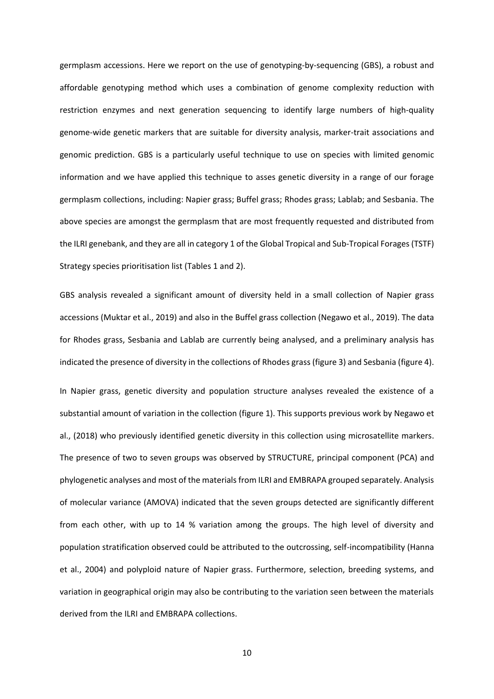germplasm accessions. Here we report on the use of genotyping-by-sequencing (GBS), a robust and affordable genotyping method which uses a combination of genome complexity reduction with restriction enzymes and next generation sequencing to identify large numbers of high-quality genome-wide genetic markers that are suitable for diversity analysis, marker-trait associations and genomic prediction. GBS is a particularly useful technique to use on species with limited genomic information and we have applied this technique to asses genetic diversity in a range of our forage germplasm collections, including: Napier grass; Buffel grass; Rhodes grass; Lablab; and Sesbania. The above species are amongst the germplasm that are most frequently requested and distributed from the ILRI genebank, and they are all in category 1 of the Global Tropical and Sub-Tropical Forages (TSTF) Strategy species prioritisation list (Tables 1 and 2).

GBS analysis revealed a significant amount of diversity held in a small collection of Napier grass accessions (Muktar et al., 2019) and also in the Buffel grass collection (Negawo et al., 2019). The data for Rhodes grass, Sesbania and Lablab are currently being analysed, and a preliminary analysis has indicated the presence of diversity in the collections of Rhodes grass (figure 3) and Sesbania (figure 4).

In Napier grass, genetic diversity and population structure analyses revealed the existence of a substantial amount of variation in the collection (figure 1). This supports previous work by Negawo et al., (2018) who previously identified genetic diversity in this collection using microsatellite markers. The presence of two to seven groups was observed by STRUCTURE, principal component (PCA) and phylogenetic analyses and most of the materials from ILRI and EMBRAPA grouped separately. Analysis of molecular variance (AMOVA) indicated that the seven groups detected are significantly different from each other, with up to 14 % variation among the groups. The high level of diversity and population stratification observed could be attributed to the outcrossing, self-incompatibility (Hanna et al., 2004) and polyploid nature of Napier grass. Furthermore, selection, breeding systems, and variation in geographical origin may also be contributing to the variation seen between the materials derived from the ILRI and EMBRAPA collections.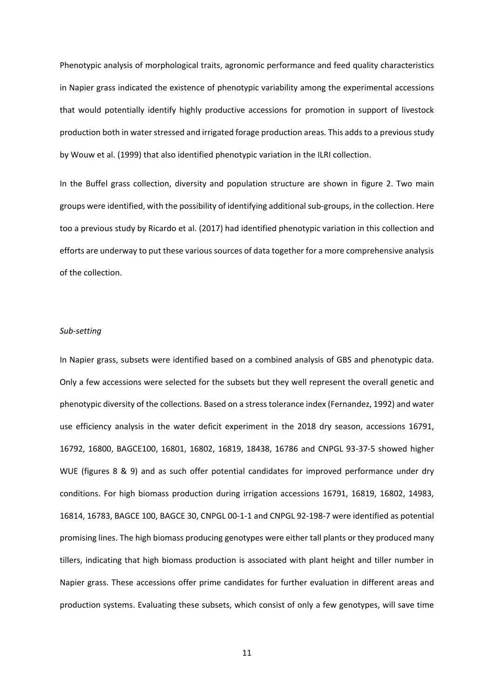Phenotypic analysis of morphological traits, agronomic performance and feed quality characteristics in Napier grass indicated the existence of phenotypic variability among the experimental accessions that would potentially identify highly productive accessions for promotion in support of livestock production both in water stressed and irrigated forage production areas. This adds to a previous study by Wouw et al. (1999) that also identified phenotypic variation in the ILRI collection.

In the Buffel grass collection, diversity and population structure are shown in figure 2. Two main groups were identified, with the possibility of identifying additional sub-groups, in the collection. Here too a previous study by Ricardo et al. (2017) had identified phenotypic variation in this collection and efforts are underway to put these various sources of data together for a more comprehensive analysis of the collection.

# *Sub-setting*

In Napier grass, subsets were identified based on a combined analysis of GBS and phenotypic data. Only a few accessions were selected for the subsets but they well represent the overall genetic and phenotypic diversity of the collections. Based on a stress tolerance index (Fernandez, 1992) and water use efficiency analysis in the water deficit experiment in the 2018 dry season, accessions 16791, 16792, 16800, BAGCE100, 16801, 16802, 16819, 18438, 16786 and CNPGL 93-37-5 showed higher WUE (figures 8 & 9) and as such offer potential candidates for improved performance under dry conditions. For high biomass production during irrigation accessions 16791, 16819, 16802, 14983, 16814, 16783, BAGCE 100, BAGCE 30, CNPGL 00-1-1 and CNPGL 92-198-7 were identified as potential promising lines. The high biomass producing genotypes were either tall plants or they produced many tillers, indicating that high biomass production is associated with plant height and tiller number in Napier grass. These accessions offer prime candidates for further evaluation in different areas and production systems. Evaluating these subsets, which consist of only a few genotypes, will save time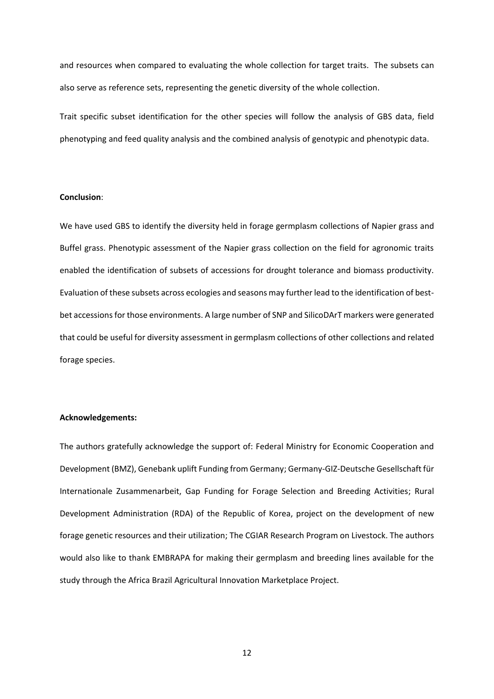and resources when compared to evaluating the whole collection for target traits. The subsets can also serve as reference sets, representing the genetic diversity of the whole collection.

Trait specific subset identification for the other species will follow the analysis of GBS data, field phenotyping and feed quality analysis and the combined analysis of genotypic and phenotypic data.

# **Conclusion**:

We have used GBS to identify the diversity held in forage germplasm collections of Napier grass and Buffel grass. Phenotypic assessment of the Napier grass collection on the field for agronomic traits enabled the identification of subsets of accessions for drought tolerance and biomass productivity. Evaluation of these subsets across ecologies and seasons may further lead to the identification of bestbet accessions for those environments. A large number of SNP and SilicoDArT markers were generated that could be useful for diversity assessment in germplasm collections of other collections and related forage species.

### **Acknowledgements:**

The authors gratefully acknowledge the support of: Federal Ministry for Economic Cooperation and Development (BMZ), Genebank uplift Funding from Germany; Germany-GIZ-Deutsche Gesellschaft für Internationale Zusammenarbeit, Gap Funding for Forage Selection and Breeding Activities; Rural Development Administration (RDA) of the Republic of Korea, project on the development of new forage genetic resources and their utilization; The CGIAR Research Program on Livestock. The authors would also like to thank EMBRAPA for making their germplasm and breeding lines available for the study through the Africa Brazil Agricultural Innovation Marketplace Project.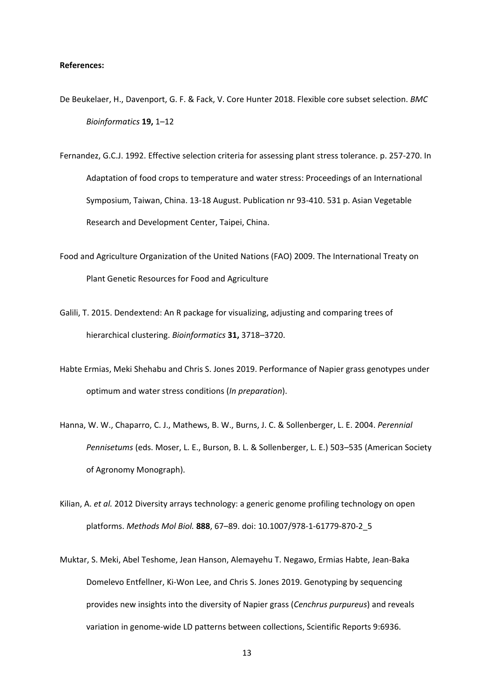### **References:**

- De Beukelaer, H., Davenport, G. F. & Fack, V. Core Hunter 2018. Flexible core subset selection. *BMC Bioinformatics* **19,** 1–12
- Fernandez, G.C.J. 1992. Effective selection criteria for assessing plant stress tolerance. p. 257-270. In Adaptation of food crops to temperature and water stress: Proceedings of an International Symposium, Taiwan, China. 13-18 August. Publication nr 93-410. 531 p. Asian Vegetable Research and Development Center, Taipei, China.
- Food and Agriculture Organization of the United Nations (FAO) 2009. The International Treaty on Plant Genetic Resources for Food and Agriculture
- Galili, T. 2015. Dendextend: An R package for visualizing, adjusting and comparing trees of hierarchical clustering. *Bioinformatics* **31,** 3718–3720.
- Habte Ermias, Meki Shehabu and Chris S. Jones 2019. Performance of Napier grass genotypes under optimum and water stress conditions (*In preparation*).
- Hanna, W. W., Chaparro, C. J., Mathews, B. W., Burns, J. C. & Sollenberger, L. E. 2004. *Perennial Pennisetums* (eds. Moser, L. E., Burson, B. L. & Sollenberger, L. E.) 503–535 (American Society of Agronomy Monograph).
- Kilian, A. *et al.* 2012 Diversity arrays technology: a generic genome profiling technology on open platforms. *Methods Mol Biol.* **888**, 67–89. doi: 10.1007/978-1-61779-870-2\_5
- Muktar, S. Meki, Abel Teshome, Jean Hanson, Alemayehu T. Negawo, Ermias Habte, Jean-Baka Domelevo Entfellner, Ki-Won Lee, and Chris S. Jones 2019. Genotyping by sequencing provides new insights into the diversity of Napier grass (*Cenchrus purpureus*) and reveals variation in genome-wide LD patterns between collections, Scientific Reports 9:6936.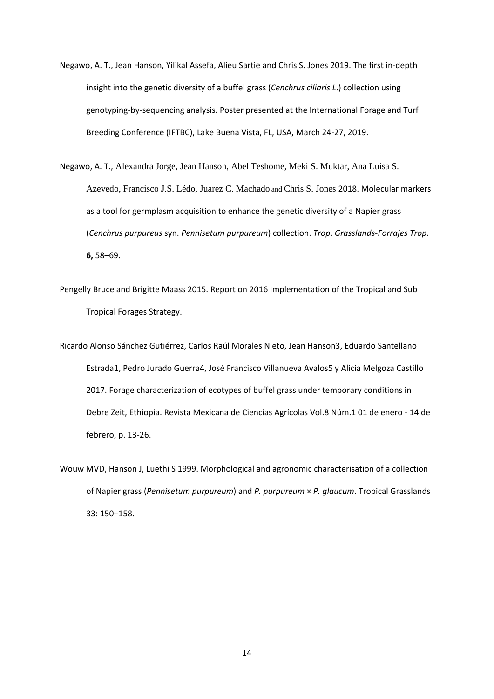- Negawo, A. T., Jean Hanson, Yilikal Assefa, Alieu Sartie and Chris S. Jones 2019. The first in-depth insight into the genetic diversity of a buffel grass (*Cenchrus ciliaris L*.) collection using genotyping-by-sequencing analysis. Poster presented at the International Forage and Turf Breeding Conference (IFTBC), Lake Buena Vista, FL, USA, March 24-27, 2019.
- Negawo, A. T., Alexandra Jorge, Jean Hanson, Abel Teshome, Meki S. Muktar, Ana Luisa S. Azevedo, Francisco J.S. Lédo*,* Juarez C. Machado and Chris S. Jones 2018. Molecular markers as a tool for germplasm acquisition to enhance the genetic diversity of a Napier grass (*Cenchrus purpureus* syn. *Pennisetum purpureum*) collection. *Trop. Grasslands-Forrajes Trop.* **6,** 58–69.
- Pengelly Bruce and Brigitte Maass 2015. Report on 2016 Implementation of the Tropical and Sub Tropical Forages Strategy.
- Ricardo Alonso Sánchez Gutiérrez, Carlos Raúl Morales Nieto, Jean Hanson3, Eduardo Santellano Estrada1, Pedro Jurado Guerra4, José Francisco Villanueva Avalos5 y Alicia Melgoza Castillo 2017. Forage characterization of ecotypes of buffel grass under temporary conditions in Debre Zeit, Ethiopia. Revista Mexicana de Ciencias Agrícolas Vol.8 Núm.1 01 de enero - 14 de febrero, p. 13-26.
- Wouw MVD, Hanson J, Luethi S 1999. Morphological and agronomic characterisation of a collection of Napier grass (*Pennisetum purpureum*) and *P. purpureum* × *P. glaucum*. Tropical Grasslands 33: 150–158.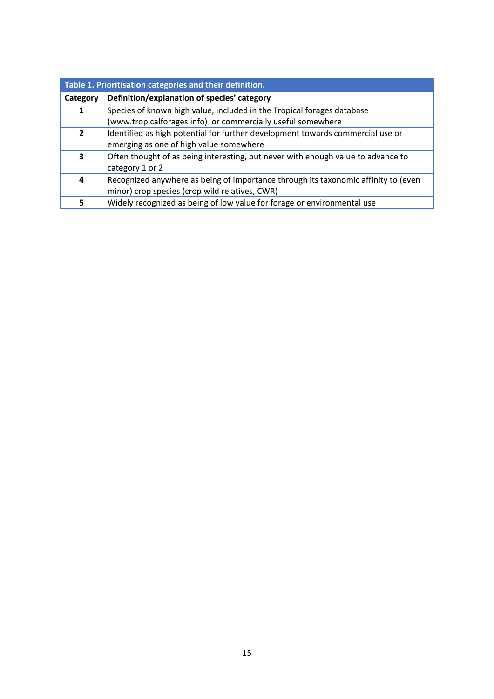| Table 1. Prioritisation categories and their definition. |                                                                                    |  |  |  |  |
|----------------------------------------------------------|------------------------------------------------------------------------------------|--|--|--|--|
| Category                                                 | Definition/explanation of species' category                                        |  |  |  |  |
| 1                                                        | Species of known high value, included in the Tropical forages database             |  |  |  |  |
|                                                          | (www.tropicalforages.info) or commercially useful somewhere                        |  |  |  |  |
| 2                                                        | Identified as high potential for further development towards commercial use or     |  |  |  |  |
|                                                          | emerging as one of high value somewhere                                            |  |  |  |  |
| 3                                                        | Often thought of as being interesting, but never with enough value to advance to   |  |  |  |  |
|                                                          | category 1 or 2                                                                    |  |  |  |  |
| 4                                                        | Recognized anywhere as being of importance through its taxonomic affinity to (even |  |  |  |  |
|                                                          | minor) crop species (crop wild relatives, CWR)                                     |  |  |  |  |
|                                                          | Widely recognized as being of low value for forage or environmental use            |  |  |  |  |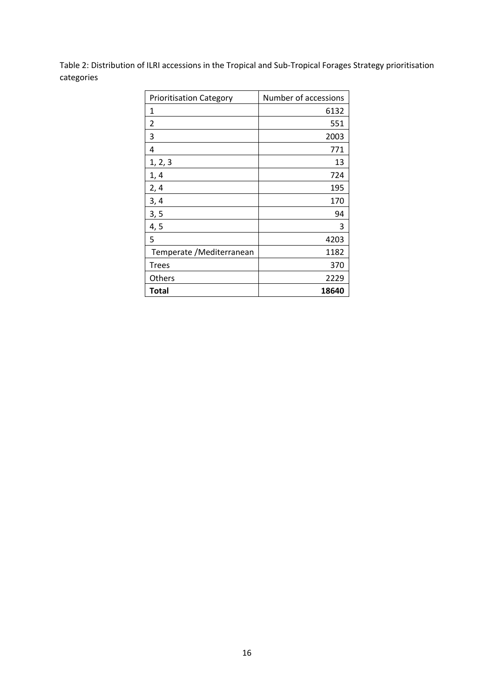Table 2: Distribution of ILRI accessions in the Tropical and Sub-Tropical Forages Strategy prioritisation categories

| <b>Prioritisation Category</b> | Number of accessions |
|--------------------------------|----------------------|
| 1                              | 6132                 |
| 2                              | 551                  |
| 3                              | 2003                 |
| 4                              | 771                  |
| 1, 2, 3                        | 13                   |
| 1, 4                           | 724                  |
| 2,4                            | 195                  |
| 3, 4                           | 170                  |
| 3, 5                           | 94                   |
| 4, 5                           | 3                    |
| 5                              | 4203                 |
| Temperate / Mediterranean      | 1182                 |
| <b>Trees</b>                   | 370                  |
| Others                         | 2229                 |
| Total                          | 18640                |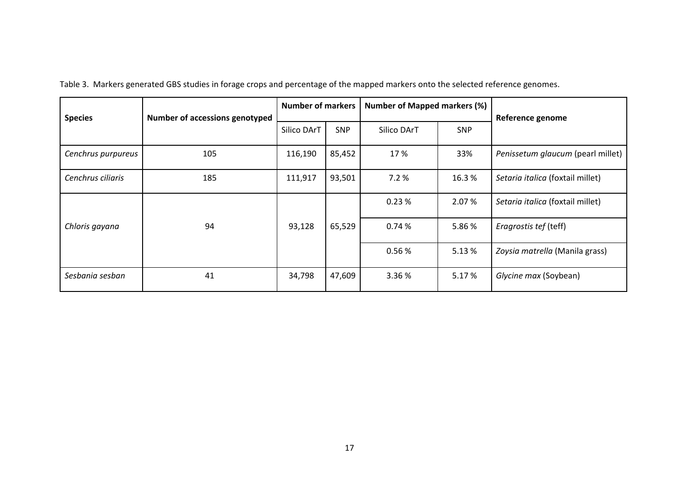| <b>Species</b>     | <b>Number of accessions genotyped</b> | <b>Number of markers</b> |            | <b>Number of Mapped markers (%)</b> |            | Reference genome                  |  |
|--------------------|---------------------------------------|--------------------------|------------|-------------------------------------|------------|-----------------------------------|--|
|                    |                                       | Silico DArT              | <b>SNP</b> | Silico DArT                         | <b>SNP</b> |                                   |  |
| Cenchrus purpureus | 105                                   | 116,190                  | 85,452     | 17 %                                | 33%        | Penissetum glaucum (pearl millet) |  |
| Cenchrus ciliaris  | 185                                   | 111,917                  | 93,501     | 7.2%                                | 16.3%      | Setaria italica (foxtail millet)  |  |
|                    |                                       | 93,128                   | 65,529     | 0.23%                               | 2.07 %     | Setaria italica (foxtail millet)  |  |
| Chloris gayana     | 94                                    |                          |            | 0.74%                               | 5.86%      | Eragrostis tef (teff)             |  |
|                    |                                       |                          |            | 0.56%                               | 5.13 %     | Zoysia matrella (Manila grass)    |  |
| Sesbania sesban    | 41                                    | 34,798                   | 47,609     | 3.36%                               | 5.17 %     | Glycine max (Soybean)             |  |

Table 3. Markers generated GBS studies in forage crops and percentage of the mapped markers onto the selected reference genomes.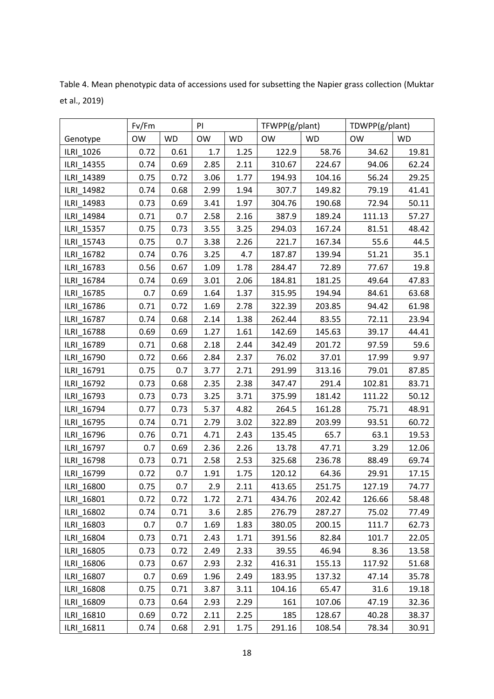|            | Fv/Fm     |           | PI        |           | TFWPP(g/plant) |           | TDWPP(g/plant) |           |
|------------|-----------|-----------|-----------|-----------|----------------|-----------|----------------|-----------|
| Genotype   | <b>OW</b> | <b>WD</b> | <b>OW</b> | <b>WD</b> | <b>OW</b>      | <b>WD</b> | <b>OW</b>      | <b>WD</b> |
| ILRI 1026  | 0.72      | 0.61      | 1.7       | 1.25      | 122.9          | 58.76     | 34.62          | 19.81     |
| ILRI 14355 | 0.74      | 0.69      | 2.85      | 2.11      | 310.67         | 224.67    | 94.06          | 62.24     |
| ILRI 14389 | 0.75      | 0.72      | 3.06      | 1.77      | 194.93         | 104.16    | 56.24          | 29.25     |
| ILRI 14982 | 0.74      | 0.68      | 2.99      | 1.94      | 307.7          | 149.82    | 79.19          | 41.41     |
| ILRI 14983 | 0.73      | 0.69      | 3.41      | 1.97      | 304.76         | 190.68    | 72.94          | 50.11     |
| ILRI 14984 | 0.71      | 0.7       | 2.58      | 2.16      | 387.9          | 189.24    | 111.13         | 57.27     |
| ILRI 15357 | 0.75      | 0.73      | 3.55      | 3.25      | 294.03         | 167.24    | 81.51          | 48.42     |
| ILRI 15743 | 0.75      | 0.7       | 3.38      | 2.26      | 221.7          | 167.34    | 55.6           | 44.5      |
| ILRI 16782 | 0.74      | 0.76      | 3.25      | 4.7       | 187.87         | 139.94    | 51.21          | 35.1      |
| ILRI_16783 | 0.56      | 0.67      | 1.09      | 1.78      | 284.47         | 72.89     | 77.67          | 19.8      |
| ILRI 16784 | 0.74      | 0.69      | 3.01      | 2.06      | 184.81         | 181.25    | 49.64          | 47.83     |
| ILRI 16785 | 0.7       | 0.69      | 1.64      | 1.37      | 315.95         | 194.94    | 84.61          | 63.68     |
| ILRI_16786 | 0.71      | 0.72      | 1.69      | 2.78      | 322.39         | 203.85    | 94.42          | 61.98     |
| ILRI 16787 | 0.74      | 0.68      | 2.14      | 1.38      | 262.44         | 83.55     | 72.11          | 23.94     |
| ILRI_16788 | 0.69      | 0.69      | 1.27      | 1.61      | 142.69         | 145.63    | 39.17          | 44.41     |
| ILRI_16789 | 0.71      | 0.68      | 2.18      | 2.44      | 342.49         | 201.72    | 97.59          | 59.6      |
| ILRI 16790 | 0.72      | 0.66      | 2.84      | 2.37      | 76.02          | 37.01     | 17.99          | 9.97      |
| ILRI 16791 | 0.75      | 0.7       | 3.77      | 2.71      | 291.99         | 313.16    | 79.01          | 87.85     |
| ILRI 16792 | 0.73      | 0.68      | 2.35      | 2.38      | 347.47         | 291.4     | 102.81         | 83.71     |
| ILRI 16793 | 0.73      | 0.73      | 3.25      | 3.71      | 375.99         | 181.42    | 111.22         | 50.12     |
| ILRI 16794 | 0.77      | 0.73      | 5.37      | 4.82      | 264.5          | 161.28    | 75.71          | 48.91     |
| ILRI 16795 | 0.74      | 0.71      | 2.79      | 3.02      | 322.89         | 203.99    | 93.51          | 60.72     |
| ILRI_16796 | 0.76      | 0.71      | 4.71      | 2.43      | 135.45         | 65.7      | 63.1           | 19.53     |
| ILRI 16797 | 0.7       | 0.69      | 2.36      | 2.26      | 13.78          | 47.71     | 3.29           | 12.06     |
| ILRI_16798 | 0.73      | 0.71      | 2.58      | 2.53      | 325.68         | 236.78    | 88.49          | 69.74     |
| ILRI 16799 | 0.72      | 0.7       | 1.91      | 1.75      | 120.12         | 64.36     | 29.91          | 17.15     |
| ILRI 16800 | 0.75      | 0.7       | 2.9       | 2.11      | 413.65         | 251.75    | 127.19         | 74.77     |
| ILRI 16801 | 0.72      | 0.72      | 1.72      | 2.71      | 434.76         | 202.42    | 126.66         | 58.48     |
| ILRI 16802 | 0.74      | 0.71      | 3.6       | 2.85      | 276.79         | 287.27    | 75.02          | 77.49     |
| ILRI 16803 | 0.7       | 0.7       | 1.69      | 1.83      | 380.05         | 200.15    | 111.7          | 62.73     |
| ILRI 16804 | 0.73      | 0.71      | 2.43      | 1.71      | 391.56         | 82.84     | 101.7          | 22.05     |
| ILRI 16805 | 0.73      | 0.72      | 2.49      | 2.33      | 39.55          | 46.94     | 8.36           | 13.58     |
| ILRI 16806 | 0.73      | 0.67      | 2.93      | 2.32      | 416.31         | 155.13    | 117.92         | 51.68     |
| ILRI 16807 | 0.7       | 0.69      | 1.96      | 2.49      | 183.95         | 137.32    | 47.14          | 35.78     |
| ILRI 16808 | 0.75      | 0.71      | 3.87      | 3.11      | 104.16         | 65.47     | 31.6           | 19.18     |
| ILRI 16809 | 0.73      | 0.64      | 2.93      | 2.29      | 161            | 107.06    | 47.19          | 32.36     |
| ILRI 16810 | 0.69      | 0.72      | 2.11      | 2.25      | 185            | 128.67    | 40.28          | 38.37     |
| ILRI 16811 | 0.74      | 0.68      | 2.91      | 1.75      | 291.16         | 108.54    | 78.34          | 30.91     |

Table 4. Mean phenotypic data of accessions used for subsetting the Napier grass collection (Muktar et al., 2019)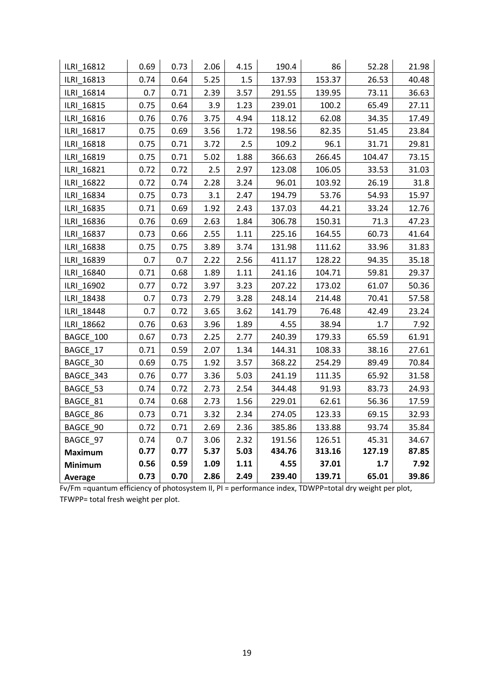| ILRI 16812     | 0.69 | 0.73 | 2.06 | 4.15 | 190.4  | 86     | 52.28  | 21.98 |
|----------------|------|------|------|------|--------|--------|--------|-------|
| ILRI 16813     | 0.74 | 0.64 | 5.25 | 1.5  | 137.93 | 153.37 | 26.53  | 40.48 |
| ILRI_16814     | 0.7  | 0.71 | 2.39 | 3.57 | 291.55 | 139.95 | 73.11  | 36.63 |
| ILRI_16815     | 0.75 | 0.64 | 3.9  | 1.23 | 239.01 | 100.2  | 65.49  | 27.11 |
| ILRI 16816     | 0.76 | 0.76 | 3.75 | 4.94 | 118.12 | 62.08  | 34.35  | 17.49 |
| ILRI 16817     | 0.75 | 0.69 | 3.56 | 1.72 | 198.56 | 82.35  | 51.45  | 23.84 |
| ILRI 16818     | 0.75 | 0.71 | 3.72 | 2.5  | 109.2  | 96.1   | 31.71  | 29.81 |
| ILRI 16819     | 0.75 | 0.71 | 5.02 | 1.88 | 366.63 | 266.45 | 104.47 | 73.15 |
| ILRI 16821     | 0.72 | 0.72 | 2.5  | 2.97 | 123.08 | 106.05 | 33.53  | 31.03 |
| ILRI 16822     | 0.72 | 0.74 | 2.28 | 3.24 | 96.01  | 103.92 | 26.19  | 31.8  |
| ILRI 16834     | 0.75 | 0.73 | 3.1  | 2.47 | 194.79 | 53.76  | 54.93  | 15.97 |
| ILRI 16835     | 0.71 | 0.69 | 1.92 | 2.43 | 137.03 | 44.21  | 33.24  | 12.76 |
| ILRI 16836     | 0.76 | 0.69 | 2.63 | 1.84 | 306.78 | 150.31 | 71.3   | 47.23 |
| ILRI 16837     | 0.73 | 0.66 | 2.55 | 1.11 | 225.16 | 164.55 | 60.73  | 41.64 |
| ILRI_16838     | 0.75 | 0.75 | 3.89 | 3.74 | 131.98 | 111.62 | 33.96  | 31.83 |
| ILRI 16839     | 0.7  | 0.7  | 2.22 | 2.56 | 411.17 | 128.22 | 94.35  | 35.18 |
| ILRI 16840     | 0.71 | 0.68 | 1.89 | 1.11 | 241.16 | 104.71 | 59.81  | 29.37 |
| ILRI 16902     | 0.77 | 0.72 | 3.97 | 3.23 | 207.22 | 173.02 | 61.07  | 50.36 |
| ILRI 18438     | 0.7  | 0.73 | 2.79 | 3.28 | 248.14 | 214.48 | 70.41  | 57.58 |
| ILRI 18448     | 0.7  | 0.72 | 3.65 | 3.62 | 141.79 | 76.48  | 42.49  | 23.24 |
| ILRI 18662     | 0.76 | 0.63 | 3.96 | 1.89 | 4.55   | 38.94  | 1.7    | 7.92  |
| BAGCE_100      | 0.67 | 0.73 | 2.25 | 2.77 | 240.39 | 179.33 | 65.59  | 61.91 |
| BAGCE 17       | 0.71 | 0.59 | 2.07 | 1.34 | 144.31 | 108.33 | 38.16  | 27.61 |
| BAGCE 30       | 0.69 | 0.75 | 1.92 | 3.57 | 368.22 | 254.29 | 89.49  | 70.84 |
| BAGCE 343      | 0.76 | 0.77 | 3.36 | 5.03 | 241.19 | 111.35 | 65.92  | 31.58 |
| BAGCE 53       | 0.74 | 0.72 | 2.73 | 2.54 | 344.48 | 91.93  | 83.73  | 24.93 |
| BAGCE 81       | 0.74 | 0.68 | 2.73 | 1.56 | 229.01 | 62.61  | 56.36  | 17.59 |
| BAGCE 86       | 0.73 | 0.71 | 3.32 | 2.34 | 274.05 | 123.33 | 69.15  | 32.93 |
| BAGCE 90       | 0.72 | 0.71 | 2.69 | 2.36 | 385.86 | 133.88 | 93.74  | 35.84 |
| BAGCE 97       | 0.74 | 0.7  | 3.06 | 2.32 | 191.56 | 126.51 | 45.31  | 34.67 |
| <b>Maximum</b> | 0.77 | 0.77 | 5.37 | 5.03 | 434.76 | 313.16 | 127.19 | 87.85 |
| <b>Minimum</b> | 0.56 | 0.59 | 1.09 | 1.11 | 4.55   | 37.01  | 1.7    | 7.92  |
| Average        | 0.73 | 0.70 | 2.86 | 2.49 | 239.40 | 139.71 | 65.01  | 39.86 |

Fv/Fm =quantum efficiency of photosystem II, PI = performance index, TDWPP=total dry weight per plot, TFWPP= total fresh weight per plot.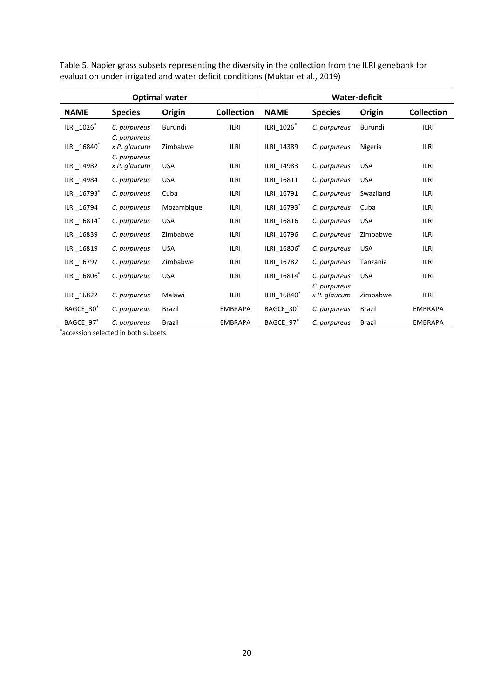|                         |                              | <b>Optimal water</b> |                   | <b>Water-deficit</b>    |                              |            |                   |  |
|-------------------------|------------------------------|----------------------|-------------------|-------------------------|------------------------------|------------|-------------------|--|
| <b>NAME</b>             | <b>Species</b>               | Origin               | <b>Collection</b> | <b>NAME</b>             | <b>Species</b>               | Origin     | <b>Collection</b> |  |
| ILRI_1026*              | C. purpureus<br>C. purpureus | Burundi              | <b>ILRI</b>       | ILRI 1026*              | C. purpureus                 | Burundi    | <b>ILRI</b>       |  |
| ILRI 16840 <sup>*</sup> | x P. glaucum                 | Zimbabwe             | ilri              | ILRI 14389              | C. purpureus                 | Nigeria    | ILRI              |  |
| ILRI_14982              | C. purpureus<br>x P. glaucum | <b>USA</b>           | <b>ILRI</b>       | ILRI 14983              | C. purpureus                 | <b>USA</b> | <b>ILRI</b>       |  |
| ILRI 14984              | C. purpureus                 | <b>USA</b>           | <b>ILRI</b>       | ILRI_16811              | C. purpureus                 | <b>USA</b> | <b>ILRI</b>       |  |
| ILRI_16793*             | C. purpureus                 | Cuba                 | <b>ILRI</b>       | ILRI_16791              | C. purpureus                 | Swaziland  | <b>ILRI</b>       |  |
| ILRI_16794              | C. purpureus                 | Mozambique           | ilri              | ILRI 16793*             | C. purpureus                 | Cuba       | <b>ILRI</b>       |  |
| ILRI_16814*             | C. purpureus                 | <b>USA</b>           | <b>ILRI</b>       | ILRI_16816              | C. purpureus                 | <b>USA</b> | <b>ILRI</b>       |  |
| ILRI_16839              | C. purpureus                 | Zimbabwe             | <b>ILRI</b>       | ILRI_16796              | C. purpureus                 | Zimbabwe   | <b>ILRI</b>       |  |
| ILRI_16819              | C. purpureus                 | <b>USA</b>           | ILRI              | ILRI_16806 <sup>*</sup> | C. purpureus                 | <b>USA</b> | <b>ILRI</b>       |  |
| ILRI_16797              | C. purpureus                 | Zimbabwe             | ILRI              | ILRI 16782              | C. purpureus                 | Tanzania   | <b>ILRI</b>       |  |
| ILRI_16806 <sup>*</sup> | C. purpureus                 | <b>USA</b>           | <b>ILRI</b>       | ILRI 16814*             | C. purpureus                 | <b>USA</b> | <b>ILRI</b>       |  |
| ILRI_16822              | C. purpureus                 | Malawi               | <b>ILRI</b>       | ILRI_16840 <sup>*</sup> | C. purpureus<br>x P. glaucum | Zimbabwe   | <b>ILRI</b>       |  |
| BAGCE_30 <sup>*</sup>   | C. purpureus                 | <b>Brazil</b>        | <b>EMBRAPA</b>    | BAGCE_30 <sup>*</sup>   | C. purpureus                 | Brazil     | <b>EMBRAPA</b>    |  |
| BAGCE 97*               | C. purpureus                 | <b>Brazil</b>        | <b>EMBRAPA</b>    | BAGCE_97*               | C. purpureus                 | Brazil     | <b>EMBRAPA</b>    |  |

Table 5. Napier grass subsets representing the diversity in the collection from the ILRI genebank for evaluation under irrigated and water deficit conditions (Muktar et al., 2019)

\*accession selected in both subsets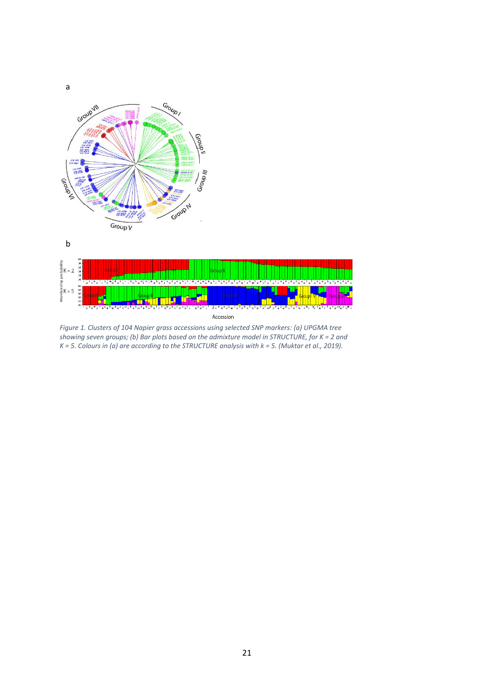

a

*Figure 1. Clusters of 104 Napier grass accessions using selected SNP markers: (a) UPGMA tree showing seven groups; (b) Bar plots based on the admixture model in STRUCTURE, for K = 2 and K = 5. Colours in (a) are according to the STRUCTURE analysis with k = 5. (Muktar et al., 2019).*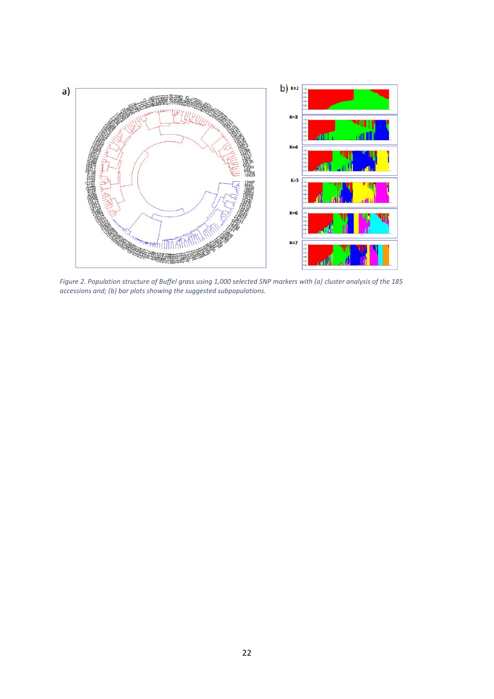

*Figure 2. Population structure of Buffel grass using 1,000 selected SNP markers with (a) cluster analysis of the 185 accessions and; (b) bar plots showing the suggested subpopulations.*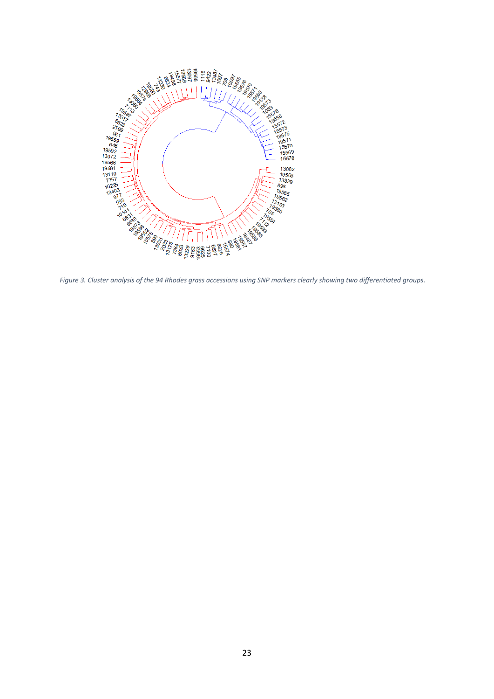

*Figure 3. Cluster analysis of the 94 Rhodes grass accessions using SNP markers clearly showing two differentiated groups.*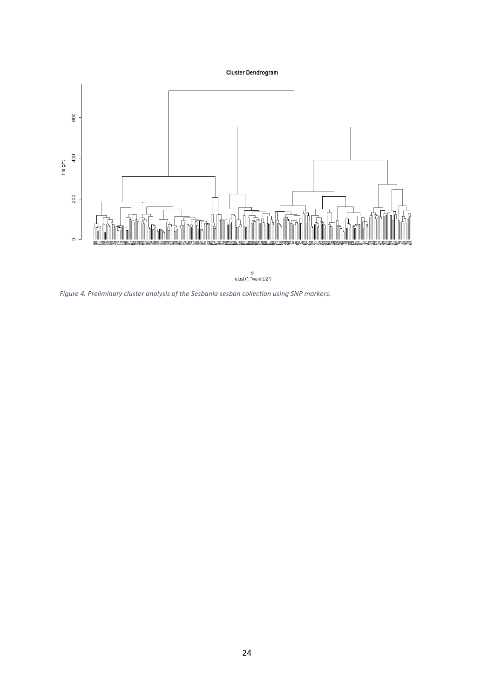# **Cluster Dendrogram**





*Figure 4. Preliminary cluster analysis of the Sesbania sesban collection using SNP markers.*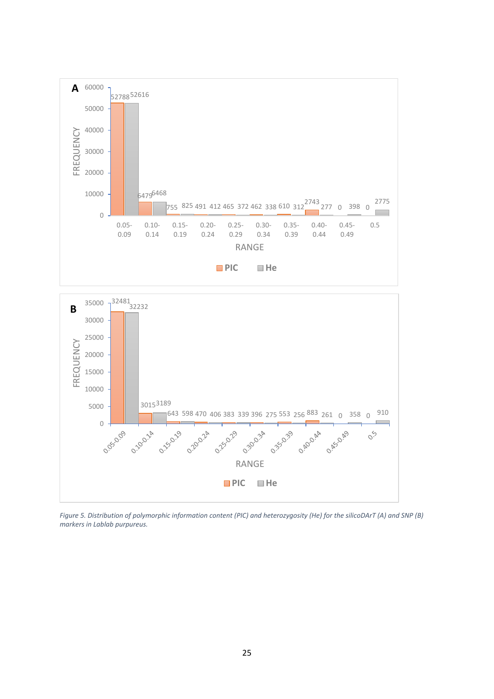



*Figure 5. Distribution of polymorphic information content (PIC) and heterozygosity (He) for the silicoDArT (A) and SNP (B) markers in Lablab purpureus.*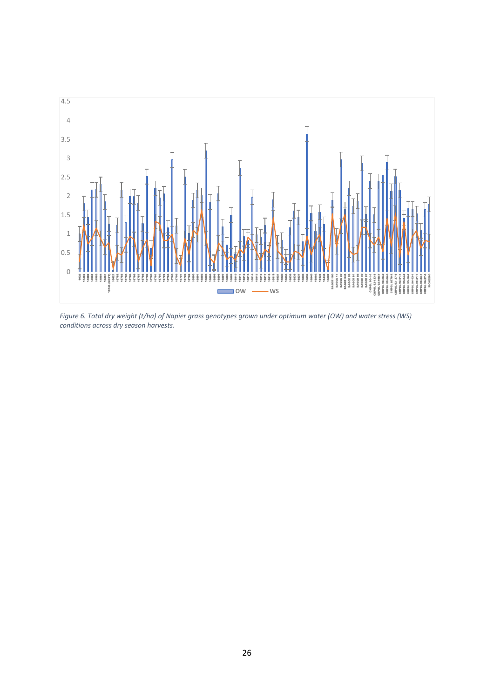

*Figure 6. Total dry weight (t/ha) of Napier grass genotypes grown under optimum water (OW) and water stress (WS) conditions across dry season harvests.*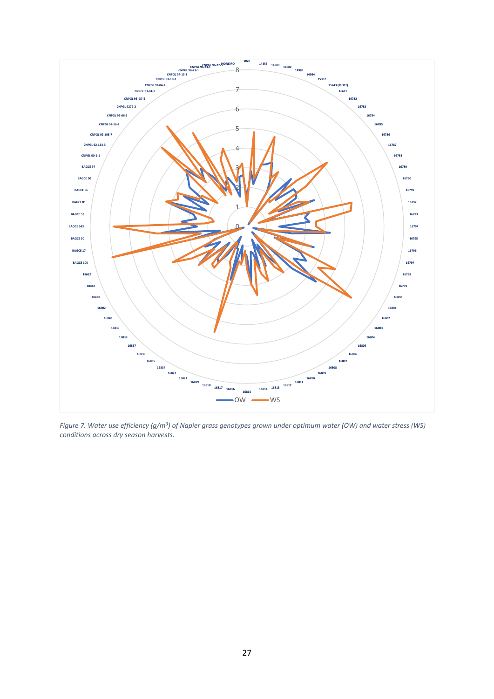

*Figure 7. Water use efficiency (g/m<sup>3</sup> ) of Napier grass genotypes grown under optimum water (OW) and water stress (WS) conditions across dry season harvests.*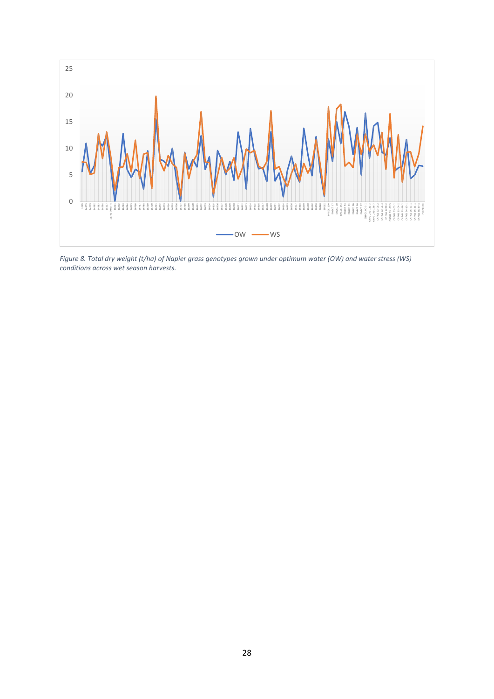

*Figure 8. Total dry weight (t/ha) of Napier grass genotypes grown under optimum water (OW) and water stress (WS) conditions across wet season harvests.*